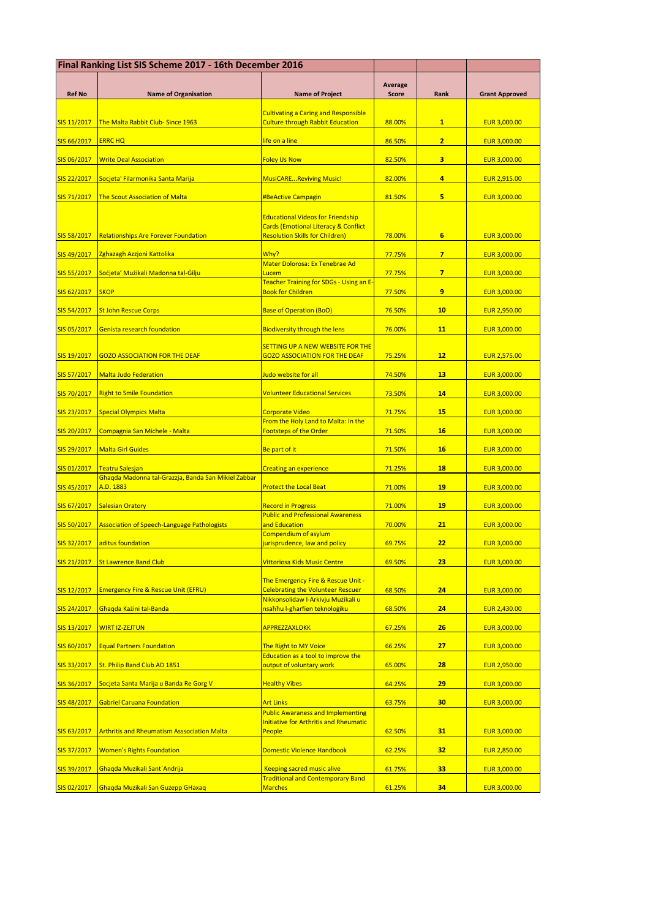| Final Ranking List SIS Scheme 2017 - 16th December 2016 |                                                                               |                                                                                           |                         |                 |                       |
|---------------------------------------------------------|-------------------------------------------------------------------------------|-------------------------------------------------------------------------------------------|-------------------------|-----------------|-----------------------|
| <b>Ref No</b>                                           | <b>Name of Organisation</b>                                                   | <b>Name of Project</b>                                                                    | Average<br><b>Score</b> | Rank            | <b>Grant Approved</b> |
|                                                         |                                                                               |                                                                                           |                         |                 |                       |
| SIS 11/2017                                             | The Malta Rabbit Club-Since 1963                                              | <b>Cultivating a Caring and Responsible</b><br><b>Culture through Rabbit Education</b>    | 88.00%                  | $\mathbf{1}$    | <b>EUR 3,000.00</b>   |
| SIS 66/2017                                             | <b>ERRC HQ</b>                                                                | life on a line                                                                            | 86.50%                  | 2 <sub>1</sub>  | EUR 3,000.00          |
| SIS 06/2017                                             | <b>Write Deal Association</b>                                                 | <b>Foley Us Now</b>                                                                       | 82.50%                  | 3               | <b>EUR 3,000.00</b>   |
| SIS 22/2017                                             | Socjeta' Filarmonika Santa Marija                                             | <b>MusiCAREReviving Music!</b>                                                            | 82.00%                  | 4               | <b>EUR 2,915.00</b>   |
| SIS 71/2017                                             | <b>The Scout Association of Malta</b>                                         | <b>#BeActive Campagin</b>                                                                 | 81.50%                  | 5               | <b>EUR 3,000.00</b>   |
|                                                         |                                                                               | <b>Educational Videos for Friendship</b>                                                  |                         |                 |                       |
| SIS 58/2017                                             | <b>Relationships Are Forever Foundation</b>                                   | <b>Cards (Emotional Literacy &amp; Conflict</b><br><b>Resolution Skills for Children)</b> | 78.00%                  | 6               | <b>EUR 3,000.00</b>   |
| SIS 49/2017                                             | Zghazagh Azzjoni Kattolika                                                    | Why?                                                                                      | 77.75%                  | $\overline{7}$  | <b>EUR 3,000.00</b>   |
| SIS 55/2017                                             | Socjeta' Muzikali Madonna tal-Gilju                                           | Mater Dolorosa: Ex Tenebrae Ad<br>Lucem                                                   | 77.75%                  | $7\overline{ }$ | EUR 3,000.00          |
| SIS 62/2017                                             | <b>SKOP</b>                                                                   | Teacher Training for SDGs - Using an E-<br><b>Book for Children</b>                       | 77.50%                  | 9               | <b>EUR 3,000.00</b>   |
| SIS 54/2017                                             | <b>St John Rescue Corps</b>                                                   | <b>Base of Operation (BoO)</b>                                                            | 76.50%                  | 10              | <b>EUR 2,950.00</b>   |
| SIS 05/2017                                             | Genista research foundation                                                   | <b>Biodiversity through the lens</b>                                                      | 76.00%                  | 11              | <b>EUR 3,000.00</b>   |
|                                                         | <b>GOZO ASSOCIATION FOR THE DEAF</b>                                          | <b>SETTING UP A NEW WEBSITE FOR THE</b><br>GOZO ASSOCIATION FOR THE DEAF                  |                         | 12              | <b>EUR 2,575.00</b>   |
| SIS 19/2017<br>SIS 57/2017                              | <b>Malta Judo Federation</b>                                                  | Judo website for all                                                                      | 75.25%<br>74.50%        | 13              | <b>EUR 3,000.00</b>   |
| SIS 70/2017                                             | <b>Right to Smile Foundation</b>                                              | <b>Volunteer Educational Services</b>                                                     | 73.50%                  | 14              | <b>EUR 3,000.00</b>   |
| SIS 23/2017                                             | <b>Special Olympics Malta</b>                                                 | <b>Corporate Video</b>                                                                    | 71.75%                  | 15              | EUR 3,000.00          |
|                                                         |                                                                               | From the Holy Land to Malta: In the                                                       |                         |                 |                       |
| SIS 20/2017                                             | Compagnia San Michele - Malta                                                 | <b>Footsteps of the Order</b>                                                             | 71.50%                  | <b>16</b>       | <b>EUR 3,000.00</b>   |
| SIS 29/2017                                             | <b>Malta Girl Guides</b>                                                      | Be part of it                                                                             | 71.50%                  | 16              | EUR 3,000.00          |
| SIS 01/2017                                             | <b>Teatru Salesjan</b><br>Ghaqda Madonna tal-Grazzja, Banda San Mikiel Zabbar | <b>Creating an experience</b>                                                             | 71.25%                  | 18              | EUR 3,000.00          |
| SIS 45/2017                                             | A.D. 1883                                                                     | <b>Protect the Local Beat</b>                                                             | 71.00%                  | 19              | <b>EUR 3,000.00</b>   |
| SIS 67/2017                                             | <b>Salesian Oratory</b>                                                       | <b>Record in Progress</b><br><b>Public and Professional Awareness</b>                     | 71.00%                  | 19              | <b>EUR 3,000.00</b>   |
| SIS 50/2017                                             | <b>Association of Speech-Language Pathologists</b>                            | and Education                                                                             | 70.00%                  | 21              | <b>EUR 3,000.00</b>   |
| SIS 32/2017                                             | aditus foundation                                                             | Compendium of asylum<br>jurisprudence, law and policy                                     | 69.75%                  | 22              | EUR 3,000.00          |
| SIS 21/2017                                             | <b>St Lawrence Band Club</b>                                                  | <b>Vittoriosa Kids Music Centre</b>                                                       | 69.50%                  | 23              | EUR 3,000.00          |
| SIS 12/2017                                             | <b>Emergency Fire &amp; Rescue Unit (EFRU)</b>                                | The Emergency Fire & Rescue Unit -<br><b>Celebrating the Volunteer Rescuer</b>            | 68.50%                  | 24              | EUR 3,000.00          |
| SIS 24/2017                                             | <mark>Għaqda Każini tal-Banda</mark>                                          | Nikkonsolidaw l-Arkivju Mużikali u<br>nsahhu I-gharfien teknologiku                       | 68.50%                  | 24              | <b>EUR 2,430.00</b>   |
| SIS 13/2017                                             | WIRT IZ-ZEJTUN                                                                | <b>APPREZZAXLOKK</b>                                                                      | 67.25%                  | 26              | <b>EUR 3,000.00</b>   |
| SIS 60/2017                                             | <b>Equal Partners Foundation</b>                                              | The Right to MY Voice                                                                     | 66.25%                  | 27              | <b>EUR 3,000.00</b>   |
| SIS 33/2017                                             | St. Philip Band Club AD 1851                                                  | Education as a tool to improve the<br>output of voluntary work                            | 65.00%                  | 28              | <b>EUR 2,950.00</b>   |
| SIS 36/2017                                             | Socjeta Santa Marija u Banda Re Gorg V                                        | <b>Healthy Vibes</b>                                                                      | 64.25%                  | 29              | EUR 3,000.00          |
| SIS 48/2017                                             | <b>Gabriel Caruana Foundation</b>                                             | <b>Art Links</b>                                                                          | 63.75%                  | 30              | EUR 3,000.00          |
|                                                         |                                                                               | <b>Public Awaraness and Implementing</b>                                                  |                         |                 |                       |
| SIS 63/2017                                             | <b>Arthritis and Rheumatism Asssociation Malta</b>                            | <b>Initiative for Arthritis and Rheumatic</b><br>People                                   | 62.50%                  | 31              | <b>EUR 3,000.00</b>   |
| SIS 37/2017                                             | <b>Women's Rights Foundation</b>                                              | Domestic Violence Handbook                                                                | 62.25%                  | 32              | <b>EUR 2,850.00</b>   |
| SIS 39/2017                                             | Ghaqda Muzikali Sant`Andrija                                                  | <b>Keeping sacred music alive</b><br><b>Traditional and Contemporary Band</b>             | 61.75%                  | 33              | EUR 3,000.00          |
| SIS 02/2017                                             | Ghagda Muzikali San Guzepp GHaxag                                             | <b>Marches</b>                                                                            | 61.25%                  | 34              | EUR 3,000.00          |